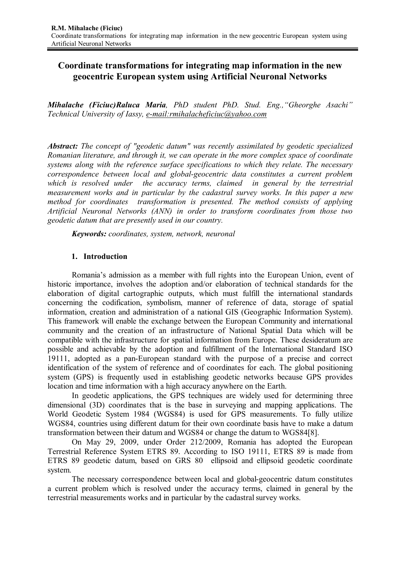# **Coordinate transformations for integrating map information in the new geocentric European system using Artificial Neuronal Networks**

*Mihalache (Ficiuc)Raluca Maria, PhD student PhD. Stud. Eng.,"Gheorghe Asachi" Technical University of Iassy, e-mail:rmihalacheficiuc@yahoo.com*

*Abstract: The concept of "geodetic datum" was recently assimilated by geodetic specialized Romanian literature, and through it, we can operate in the more complex space of coordinate systems along with the reference surface specifications to which they relate. The necessary correspondence between local and global-geocentric data constitutes a current problem*  which is resolved under the accuracy terms, claimed in general by the terrestrial *measurement works and in particular by the cadastral survey works. In this paper a new method for coordinates transformation is presented. The method consists of applying Artificial Neuronal Networks (ANN) in order to transform coordinates from those two geodetic datum that are presently used in our country.*

*Keywords: coordinates, system, network, neuronal*

## **1. Introduction**

Romania's admission as a member with full rights into the European Union, event of historic importance, involves the adoption and/or elaboration of technical standards for the elaboration of digital cartographic outputs, which must fulfill the international standards concerning the codification, symbolism, manner of reference of data, storage of spatial information, creation and administration of a national GIS (Geographic Information System). This framework will enable the exchange between the European Community and international community and the creation of an infrastructure of National Spatial Data which will be compatible with the infrastructure for spatial information from Europe. These desideratum are possible and achievable by the adoption and fulfillment of the International Standard ISO 19111, adopted as a pan-European standard with the purpose of a precise and correct identification of the system of reference and of coordinates for each. The global positioning system (GPS) is frequently used in establishing geodetic networks because GPS provides location and time information with a high accuracy anywhere on the Earth.

In geodetic applications, the GPS techniques are widely used for determining three dimensional (3D) coordinates that is the base in surveying and mapping applications. The World Geodetic System 1984 (WGS84) is used for GPS measurements. To fully utilize WGS84, countries using different datum for their own coordinate basis have to make a datum transformation between their datum and WGS84 or change the datum to WGS84[8].

On May 29, 2009, under Order 212/2009, Romania has adopted the European Terrestrial Reference System ETRS 89. According to ISO 19111, ETRS 89 is made from ETRS 89 geodetic datum, based on GRS 80 ellipsoid and ellipsoid geodetic coordinate system.

The necessary correspondence between local and global-geocentric datum constitutes a current problem which is resolved under the accuracy terms, claimed in general by the terrestrial measurements works and in particular by the cadastral survey works.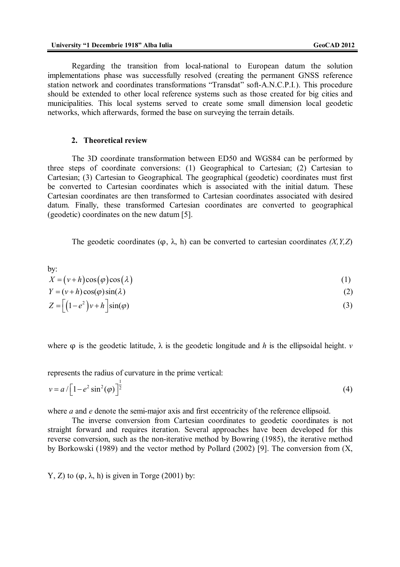Regarding the transition from local-national to European datum the solution implementations phase was successfully resolved (creating the permanent GNSS reference station network and coordinates transformations "Transdat" soft-A.N.C.P.I*.*). This procedure should be extended to other local reference systems such as those created for big cities and municipalities. This local systems served to create some small dimension local geodetic networks, which afterwards, formed the base on surveying the terrain details.

#### **2. Theoretical review**

The 3D coordinate transformation between ED50 and WGS84 can be performed by three steps of coordinate conversions: (1) Geographical to Cartesian; (2) Cartesian to Cartesian; (3) Cartesian to Geographical. The geographical (geodetic) coordinates must first be converted to Cartesian coordinates which is associated with the initial datum. These Cartesian coordinates are then transformed to Cartesian coordinates associated with desired datum. Finally, these transformed Cartesian coordinates are converted to geographical (geodetic) coordinates on the new datum [5].

The geodetic coordinates  $(\varphi, \lambda, h)$  can be converted to cartesian coordinates  $(X, Y, Z)$ 

by:  
\n
$$
X = (\nu + h)\cos(\varphi)\cos(\lambda)
$$
\n
$$
Y = (\nu + h)\cos(\varphi)\sin(\lambda)
$$
\n
$$
Z = \left[ (1 - e^2)\nu + h \right] \sin(\varphi)
$$
\n(3)

where  $\varphi$  is the geodetic latitude,  $\lambda$  is the geodetic longitude and *h* is the ellipsoidal height. *v* 

represents the radius of curvature in the prime vertical:

$$
v = a / \left[1 - e^2 \sin^2(\varphi)\right]^{\frac{1}{2}}
$$
 (4)

where *a* and *e* denote the semi-major axis and first eccentricity of the reference ellipsoid.

The inverse conversion from Cartesian coordinates to geodetic coordinates is not straight forward and requires iteration. Several approaches have been developed for this reverse conversion, such as the non-iterative method by Bowring (1985), the iterative method by Borkowski (1989) and the vector method by Pollard (2002) [9]. The conversion from (X,

Y, Z) to  $(\omega, \lambda, h)$  is given in Torge (2001) by: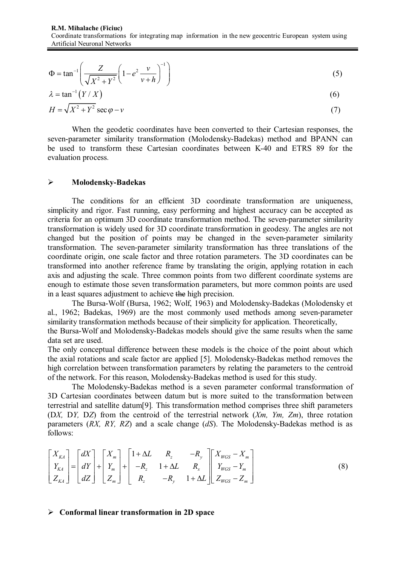$$
\Phi = \tan^{-1} \left( \frac{Z}{\sqrt{X^2 + Y^2}} \left( 1 - e^2 \frac{v}{v + h} \right)^{-1} \right)
$$
 (5)

$$
\lambda = \tan^{-1}(Y/X) \tag{6}
$$

$$
H = \sqrt{X^2 + Y^2} \sec \varphi - v \tag{7}
$$

When the geodetic coordinates have been converted to their Cartesian responses, the seven-parameter similarity transformation (Molodensky-Badekas) method and BPANN can be used to transform these Cartesian coordinates between K-40 and ETRS 89 for the evaluation process.

### **Molodensky-Badekas**

The conditions for an efficient 3D coordinate transformation are uniqueness, simplicity and rigor. Fast running, easy performing and highest accuracy can be accepted as criteria for an optimum 3D coordinate transformation method. The seven-parameter similarity transformation is widely used for 3D coordinate transformation in geodesy. The angles are not changed but the position of points may be changed in the seven-parameter similarity transformation. The seven-parameter similarity transformation has three translations of the coordinate origin, one scale factor and three rotation parameters. The 3D coordinates can be transformed into another reference frame by translating the origin, applying rotation in each axis and adjusting the scale. Three common points from two different coordinate systems are enough to estimate those seven transformation parameters, but more common points are used in a least squares adjustment to achieve the high precision.

The Bursa-Wolf (Bursa, 1962; Wolf, 1963) and Molodensky-Badekas (Molodensky et al., 1962; Badekas, 1969) are the most commonly used methods among seven-parameter similarity transformation methods because of their simplicity for application. Theoretically, the Bursa-Wolf and Molodensky-Badekas models should give the same results when the same data set are used.

The only conceptual difference between these models is the choice of the point about which the axial rotations and scale factor are applied [5]. Molodensky-Badekas method removes the high correlation between transformation parameters by relating the parameters to the centroid of the network. For this reason, Molodensky-Badekas method is used for this study.

The Molodensky-Badekas method is a seven parameter conformal transformation of 3D Cartesian coordinates between datum but is more suited to the transformation between terrestrial and satellite datum[9]*.* This transformation method comprises three shift parameters (D*X,* D*Y,* D*Z*) from the centroid of the terrestrial network (*Xm, Ym, Zm*), three rotation parameters (*RX, RY, RZ*) and a scale change (*dS*). The Molodensky-Badekas method is as follows:

$$
\begin{bmatrix} X_{KA} \\ Y_{KA} \\ Z_{KA} \end{bmatrix} = \begin{bmatrix} dX \\ dY \\ dZ \end{bmatrix} + \begin{bmatrix} X_m \\ Y_m \\ Z_m \end{bmatrix} + \begin{bmatrix} 1 + \Delta L & R_z & -R_y \\ -R_z & 1 + \Delta L & R_x \\ R_z & -R_y & 1 + \Delta L \end{bmatrix} \begin{bmatrix} X_{WGS} - X_m \\ Y_{WGS} - Y_m \\ Z_{WGS} - Z_m \end{bmatrix} \tag{8}
$$

#### **Conformal linear transformation in 2D space**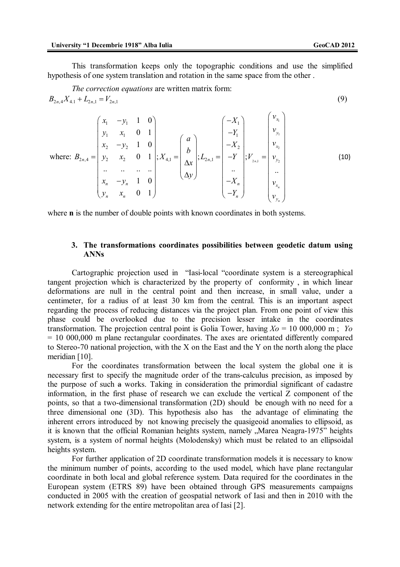This transformation keeps only the topographic conditions and use the simplified hypothesis of one system translation and rotation in the same space from the other .

The correction equations are written matrix form:  
\n
$$
B_{2n,4}X_{4,1} + L_{2n,1} = V_{2n,1}
$$
\n(9)

where: 
$$
B_{2n,4} = \begin{pmatrix} x_1 & -y_1 & 1 & 0 \\ y_1 & x_1 & 0 & 1 \\ x_2 & -y_2 & 1 & 0 \\ y_2 & x_2 & 0 & 1 \\ \vdots & \vdots & \ddots & \vdots \\ x_n & -y_n & 1 & 0 \\ y_n & x_n & 0 & 1 \end{pmatrix}
$$
;  $X_{4,1} = \begin{pmatrix} a \\ b \\ \Delta x \\ \Delta y \end{pmatrix}$ ;  $L_{2n,1} = \begin{pmatrix} -X_1 \\ -Y_1 \\ -X_2 \\ -Y \\ \vdots \\ -X_n \end{pmatrix}$ ;  $V_{2n,1} = \begin{pmatrix} v_{x_1} \\ v_{y_1} \\ v_{x_2} \\ \vdots \\ v_{y_n} \\ v_{x_n} \end{pmatrix}$  (10)

where **n** is the number of double points with known coordinates in both systems.

### **3. The transformations coordinates possibilities between geodetic datum using ANNs**

Cartographic projection used in "Iasi-local "coordinate system is a stereographical tangent projection which is characterized by the property of conformity , in which linear deformations are null in the central point and then increase, in small value, under a centimeter, for a radius of at least 30 km from the central. This is an important aspect regarding the process of reducing distances via the project plan. From one point of view this phase could be overlooked due to the precision lesser intake in the coordinates transformation. The projection central point is Golia Tower, having  $X_0 = 10,000,000$  m; *Yo* = 10 000,000 m plane rectangular coordinates. The axes are orientated differently compared to Stereo-70 national projection, with the X on the East and the Y on the north along the place meridian [10].

For the coordinates transformation between the local system the global one it is necessary first to specify the magnitude order of the trans-calculus precision, as imposed by the purpose of such a works. Taking in consideration the primordial significant of cadastre information, in the first phase of research we can exclude the vertical Z component of the points, so that a two-dimensional transformation (2D) should be enough with no need for a three dimensional one (3D). This hypothesis also has the advantage of eliminating the inherent errors introduced by not knowing precisely the quasigeoid anomalies to ellipsoid, as it is known that the official Romanian heights system, namely "Marea Neagra-1975" heights system, is a system of normal heights (Molodensky) which must be related to an ellipsoidal heights system.

For further application of 2D coordinate transformation models it is necessary to know the minimum number of points, according to the used model, which have plane rectangular coordinate in both local and global reference system. Data required for the coordinates in the European system (ETRS 89) have been obtained through GPS measurements campaigns conducted in 2005 with the creation of geospatial network of Iasi and then in 2010 with the network extending for the entire metropolitan area of Iasi [2].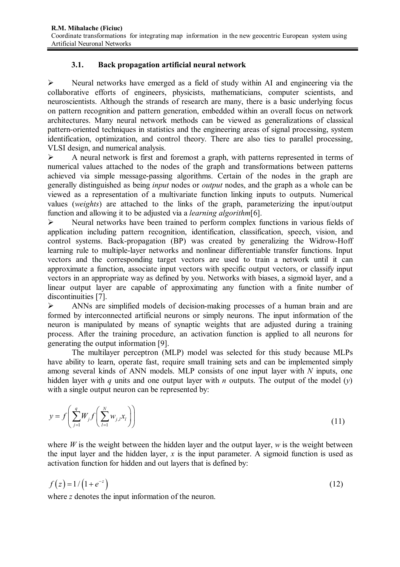## **3.1. Back propagation artificial neural network**

 $\triangleright$  Neural networks have emerged as a field of study within AI and engineering via the collaborative efforts of engineers, physicists, mathematicians, computer scientists, and neuroscientists. Although the strands of research are many, there is a basic underlying focus on pattern recognition and pattern generation, embedded within an overall focus on network architectures. Many neural network methods can be viewed as generalizations of classical pattern-oriented techniques in statistics and the engineering areas of signal processing, system identification, optimization, and control theory. There are also ties to parallel processing, VLSI design, and numerical analysis.

 A neural network is first and foremost a graph, with patterns represented in terms of numerical values attached to the nodes of the graph and transformations between patterns achieved via simple message-passing algorithms. Certain of the nodes in the graph are generally distinguished as being *input* nodes or *output* nodes, and the graph as a whole can be viewed as a representation of a multivariate function linking inputs to outputs. Numerical values (*weights*) are attached to the links of the graph, parameterizing the input/output function and allowing it to be adjusted via a *learning algorithm*[6].

 Neural networks have been trained to perform complex functions in various fields of application including pattern recognition, identification, classification, speech, vision, and control systems. Back-propagation (BP) was created by generalizing the Widrow-Hoff learning rule to multiple-layer networks and nonlinear differentiable transfer functions. Input vectors and the corresponding target vectors are used to train a network until it can approximate a function, associate input vectors with specific output vectors, or classify input vectors in an appropriate way as defined by you. Networks with biases, a sigmoid layer, and a linear output layer are capable of approximating any function with a finite number of discontinuities [7].

 ANNs are simplified models of decision-making processes of a human brain and are formed by interconnected artificial neurons or simply neurons. The input information of the neuron is manipulated by means of synaptic weights that are adjusted during a training process. After the training procedure, an activation function is applied to all neurons for generating the output information [9].

The multilayer perceptron (MLP) model was selected for this study because MLPs have ability to learn, operate fast, require small training sets and can be implemented simply among several kinds of ANN models. MLP consists of one input layer with *N* inputs, one hidden layer with *q* units and one output layer with *n* outputs. The output of the model (*y*) with a single output neuron can be represented by:

$$
y = f\left(\sum_{j=1}^{q} W_j f\left(\sum_{l=1}^{N} w_{j,l} x_l\right)\right)
$$
\n(11)

where *W* is the weight between the hidden layer and the output layer, *w* is the weight between the input layer and the hidden layer, *x* is the input parameter. A sigmoid function is used as activation function for hidden and out layers that is defined by:

$$
f(z) = 1/(1 + e^{-z})
$$
 (12)

where *z* denotes the input information of the neuron.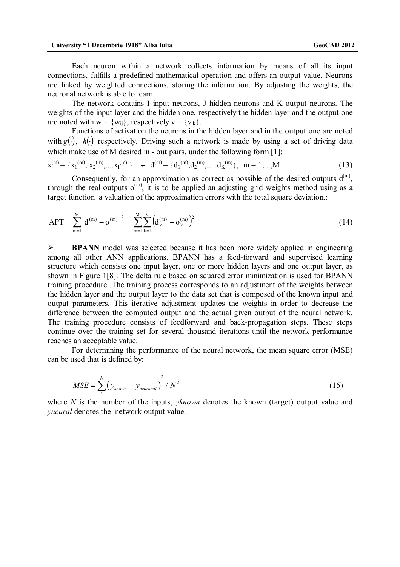Each neuron within a network collects information by means of all its input connections, fulfills a predefined mathematical operation and offers an output value. Neurons are linked by weighted connections, storing the information. By adjusting the weights, the neuronal network is able to learn.

The network contains I input neurons, J hidden neurons and K output neurons. The weights of the input layer and the hidden one, respectively the hidden layer and the output one are noted with  $w = \{w_{ii}\}\)$ , respectively  $v = \{v_{ik}\}\$ .

Functions of activation the neurons in the hidden layer and in the output one are noted with  $g(\cdot)$ ,  $h(\cdot)$  respectively. Driving such a network is made by using a set of driving data which make use of M desired in - out pairs, under the following form [1]:

$$
\mathbf{x}^{(m)} = \{x_1^{(m)}, x_2^{(m)}, \dots x_l^{(m)}\} \quad \div \quad \mathbf{d}^{(m)} = \{\mathbf{d}_1^{(m)}, \mathbf{d}_2^{(m)}, \dots \mathbf{d}_K^{(m)}\}, \quad m = 1, \dots, M
$$

Consequently, for an approximation as correct as possible of the desired outputs  $d^{(m)}$ , through the real outputs  $o^{(m)}$ , it is to be applied an adjusting grid weights method using as a target function a valuation of the approximation errors with the total square deviation.:

$$
APT = \sum_{m=1}^{M} \left\| d^{(m)} - o^{(m)} \right\|^2 = \sum_{m=1}^{M} \sum_{k=1}^{K} \left( d_k^{(m)} - o_k^{(m)} \right)^2 \tag{14}
$$

 **BPANN** model was selected because it has been more widely applied in engineering among all other ANN applications. BPANN has a feed-forward and supervised learning structure which consists one input layer, one or more hidden layers and one output layer, as shown in Figure 1[8]. The delta rule based on squared error minimization is used for BPANN training procedure .The training process corresponds to an adjustment of the weights between the hidden layer and the output layer to the data set that is composed of the known input and output parameters. This iterative adjustment updates the weights in order to decrease the difference between the computed output and the actual given output of the neural network. The training procedure consists of feedforward and back-propagation steps. These steps continue over the training set for several thousand iterations until the network performance reaches an acceptable value.

For determining the performance of the neural network, the mean square error (MSE) can be used that is defined by:

$$
MSE = \sum_{1}^{N} \left( y_{known} - y_{neuronal} \right)^2 / N^2
$$
 (15)

where *N* is the number of the inputs, *yknown* denotes the known (target) output value and *yneural* denotes the network output value.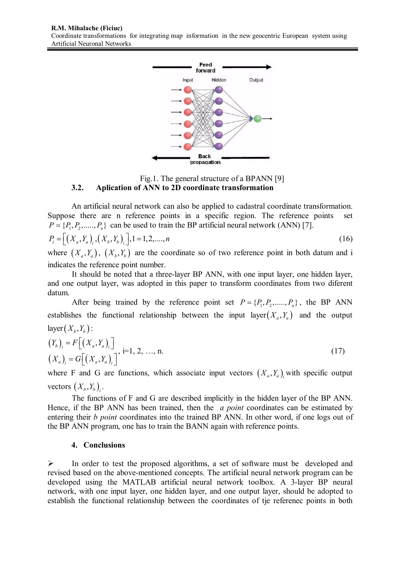

### Fig.1. The general structure of a BPANN [9] **3.2. Aplication of ANN to 2D coordinate transformation**

An artificial neural network can also be applied to cadastral coordinate transformation. Suppose there are n reference points in a specific region. The reference points set  $P = \{P_1, P_2, \ldots, P_n\}$  can be used to train the BP artificial neural network (ANN) [7].

$$
P_i = \left[ \left( X_a, Y_a \right)_i, \left( X_b, Y_b \right)_i \right], 1 = 1, 2, \dots, n \tag{16}
$$

where  $(X_a, Y_a)$ ,  $(X_b, Y_b)$  are the coordinate so of two reference point in both datum and i indicates the reference point number.

It should be noted that a three-layer BP ANN, with one input layer, one hidden layer, and one output layer, was adopted in this paper to transform coordinates from two diferent datum.

After being trained by the reference point set  $P = \{P_1, P_2, \dots, P_n\}$ , the BP ANN establishes the functional relationship between the input layer  $(X, Y)$  and the output  $layer(X<sub>b</sub>, Y<sub>b</sub>)$ :

$$
\begin{aligned} \left(Y_b\right)_i &= F\left[\left(X_a, Y_a\right)_i\right] \\ \left(X_a\right)_i &= G\left[\left(X_a, Y_a\right)_i\right], \text{ i=1, 2, ..., n.} \end{aligned} \tag{17}
$$

where F and G are functions, which associate input vectors  $(X_a, Y_a)$  with specific output vectors  $(X_b, Y_b)_{i}$ .

The functions of F and G are described implicitly in the hidden layer of the BP ANN. Hence, if the BP ANN has been trained, then the *a point* coordinates can be estimated by entering their *b point* coordinates into the trained BP ANN. In other word, if one logs out of the BP ANN program, one has to train the BANN again with reference points.

## **4. Conclusions**

 In order to test the proposed algorithms, a set of software must be developed and revised based on the above-mentioned concepts. The artificial neural network program can be developed using the MATLAB artificial neural network toolbox. A 3-layer BP neural network, with one input layer, one hidden layer, and one output layer, should be adopted to establish the functional relationship between the coordinates of tje referenec points in both